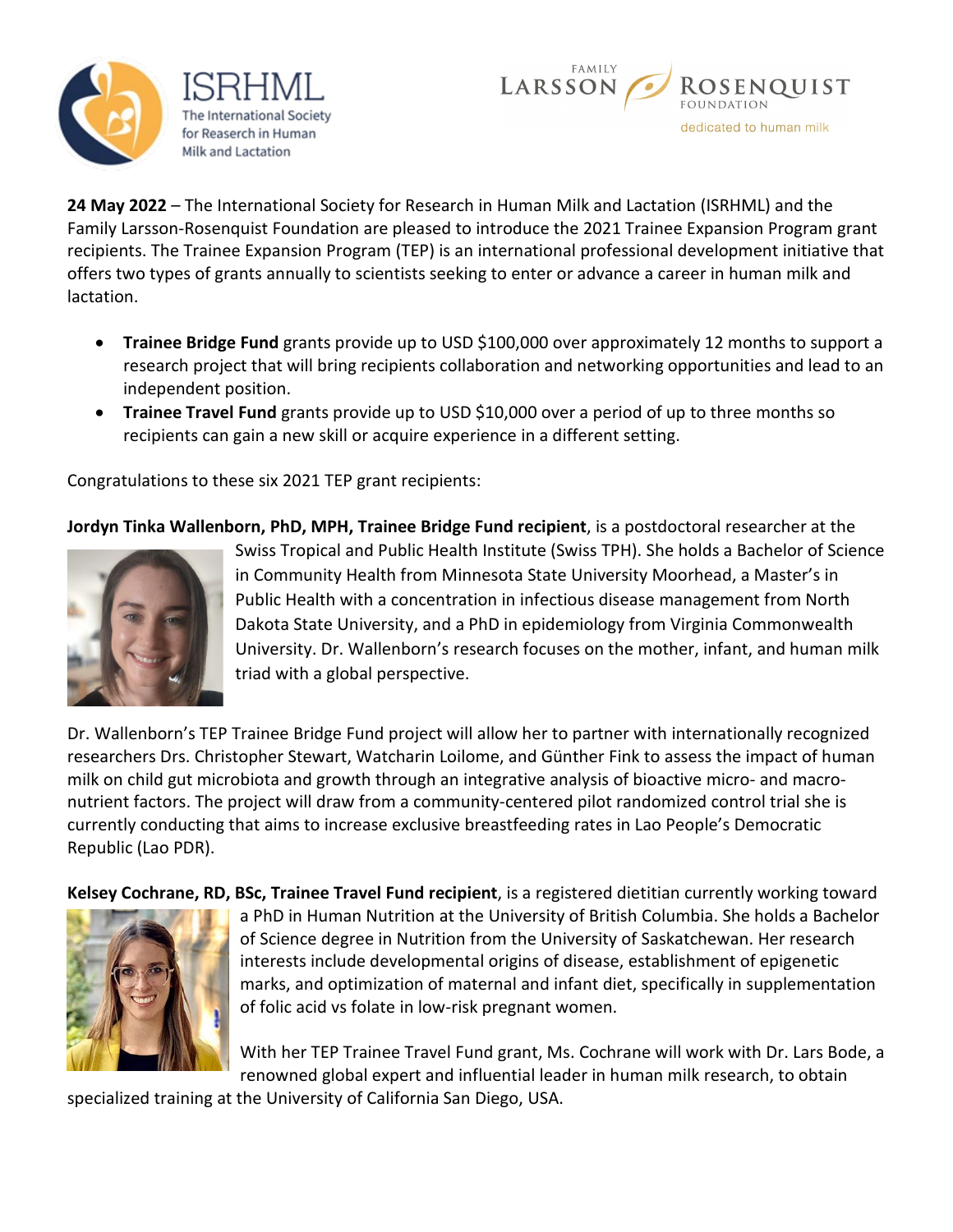



**24 May 2022** – The International Society for Research in Human Milk and Lactation (ISRHML) and the Family Larsson-Rosenquist Foundation are pleased to introduce the 2021 Trainee Expansion Program grant recipients. The Trainee Expansion Program (TEP) is an international professional development initiative that offers two types of grants annually to scientists seeking to enter or advance a career in human milk and lactation.

- **Trainee Bridge Fund** grants provide up to USD \$100,000 over approximately 12 months to support a research project that will bring recipients collaboration and networking opportunities and lead to an independent position.
- **Trainee Travel Fund** grants provide up to USD \$10,000 over a period of up to three months so recipients can gain a new skill or acquire experience in a different setting.

Congratulations to these six 2021 TEP grant recipients:

**Jordyn Tinka Wallenborn, PhD, MPH, Trainee Bridge Fund recipient**, is a postdoctoral researcher at the



Swiss Tropical and Public Health Institute (Swiss TPH). She holds a Bachelor of Science in Community Health from Minnesota State University Moorhead, a Master's in Public Health with a concentration in infectious disease management from North Dakota State University, and a PhD in epidemiology from Virginia Commonwealth University. Dr. Wallenborn's research focuses on the mother, infant, and human milk triad with a global perspective.

Dr. Wallenborn's TEP Trainee Bridge Fund project will allow her to partner with internationally recognized researchers Drs. Christopher Stewart, Watcharin Loilome, and Günther Fink to assess the impact of human milk on child gut microbiota and growth through an integrative analysis of bioactive micro- and macronutrient factors. The project will draw from a community-centered pilot randomized control trial she is currently conducting that aims to increase exclusive breastfeeding rates in Lao People's Democratic Republic (Lao PDR).

**Kelsey Cochrane, RD, BSc, Trainee Travel Fund recipient**, is a registered dietitian currently working toward



a PhD in Human Nutrition at the University of British Columbia. She holds a Bachelor of Science degree in Nutrition from the University of Saskatchewan. Her research interests include developmental origins of disease, establishment of epigenetic marks, and optimization of maternal and infant diet, specifically in supplementation of folic acid vs folate in low-risk pregnant women.

With her TEP Trainee Travel Fund grant, Ms. Cochrane will work with Dr. Lars Bode, a renowned global expert and influential leader in human milk research, to obtain

specialized training at the University of California San Diego, USA.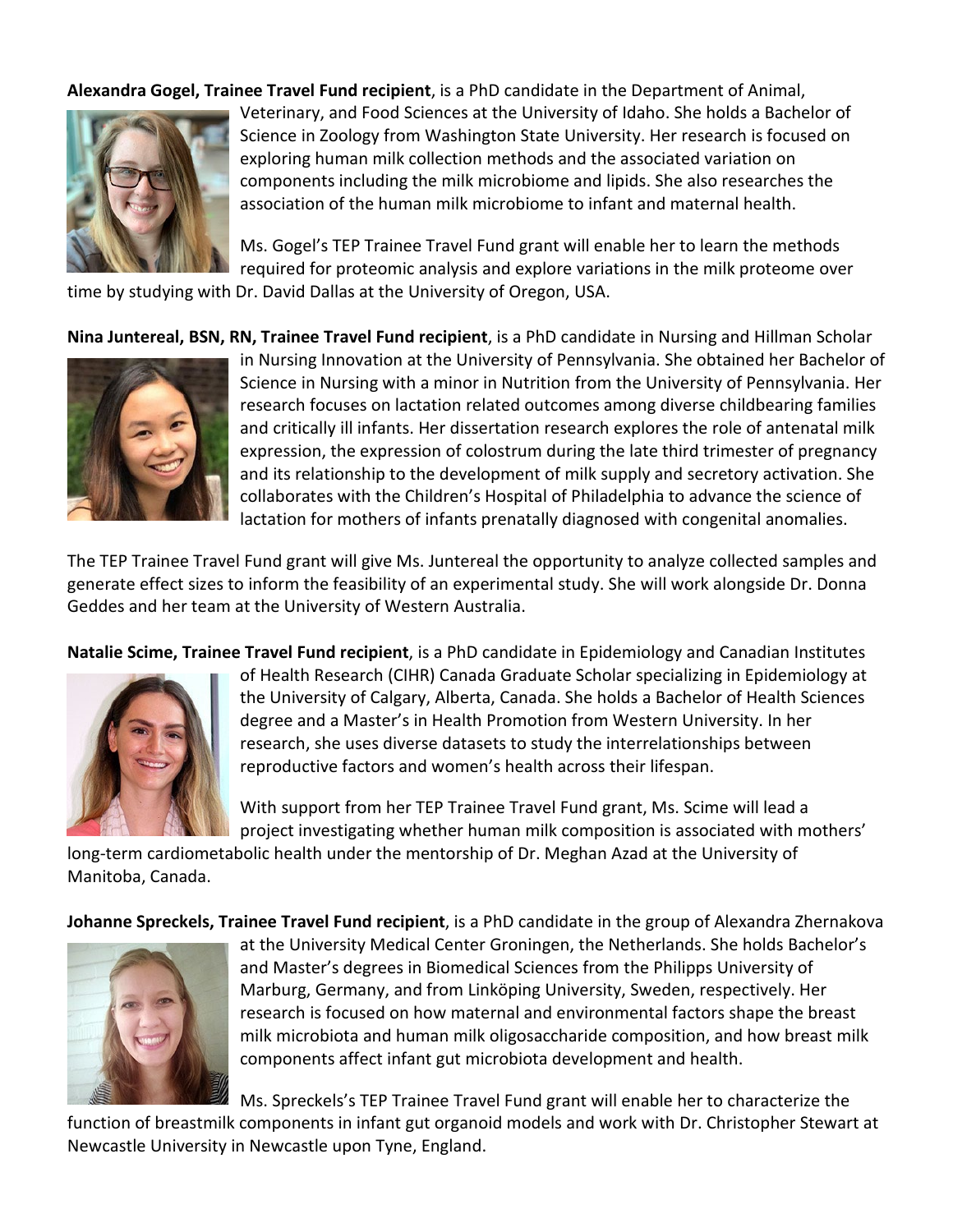**Alexandra Gogel, Trainee Travel Fund recipient**, is a PhD candidate in the Department of Animal,



Veterinary, and Food Sciences at the University of Idaho. She holds a Bachelor of Science in Zoology from Washington State University. Her research is focused on exploring human milk collection methods and the associated variation on components including the milk microbiome and lipids. She also researches the association of the human milk microbiome to infant and maternal health.

Ms. Gogel's TEP Trainee Travel Fund grant will enable her to learn the methods required for proteomic analysis and explore variations in the milk proteome over time by studying with Dr. David Dallas at the University of Oregon, USA.

**Nina Juntereal, BSN, RN, Trainee Travel Fund recipient**, is a PhD candidate in Nursing and Hillman Scholar



in Nursing Innovation at the University of Pennsylvania. She obtained her Bachelor of Science in Nursing with a minor in Nutrition from the University of Pennsylvania. Her research focuses on lactation related outcomes among diverse childbearing families and critically ill infants. Her dissertation research explores the role of antenatal milk expression, the expression of colostrum during the late third trimester of pregnancy and its relationship to the development of milk supply and secretory activation. She collaborates with the Children's Hospital of Philadelphia to advance the science of lactation for mothers of infants prenatally diagnosed with congenital anomalies.

The TEP Trainee Travel Fund grant will give Ms. Juntereal the opportunity to analyze collected samples and generate effect sizes to inform the feasibility of an experimental study. She will work alongside Dr. Donna Geddes and her team at the University of Western Australia.

**Natalie Scime, Trainee Travel Fund recipient**, is a PhD candidate in Epidemiology and Canadian Institutes



of Health Research (CIHR) Canada Graduate Scholar specializing in Epidemiology at the University of Calgary, Alberta, Canada. She holds a Bachelor of Health Sciences degree and a Master's in Health Promotion from Western University. In her research, she uses diverse datasets to study the interrelationships between reproductive factors and women's health across their lifespan.

With support from her TEP Trainee Travel Fund grant, Ms. Scime will lead a project investigating whether human milk composition is associated with mothers'

long-term cardiometabolic health under the mentorship of Dr. Meghan Azad at the University of Manitoba, Canada.

**Johanne Spreckels, Trainee Travel Fund recipient**, is a PhD candidate in the group of Alexandra Zhernakova



at the University Medical Center Groningen, the Netherlands. She holds Bachelor's and Master's degrees in Biomedical Sciences from the Philipps University of Marburg, Germany, and from Linköping University, Sweden, respectively. Her research is focused on how maternal and environmental factors shape the breast milk microbiota and human milk oligosaccharide composition, and how breast milk components affect infant gut microbiota development and health.

Ms. Spreckels's TEP Trainee Travel Fund grant will enable her to characterize the

function of breastmilk components in infant gut organoid models and work with Dr. Christopher Stewart at Newcastle University in Newcastle upon Tyne, England.